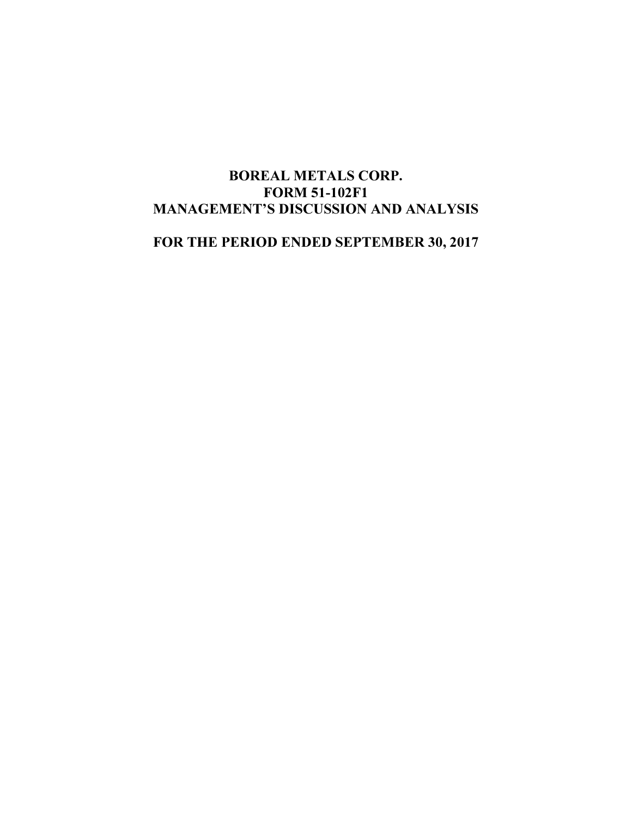# BOREAL METALS CORP. FORM 51-102F1 MANAGEMENT'S DISCUSSION AND ANALYSIS

FOR THE PERIOD ENDED SEPTEMBER 30, 2017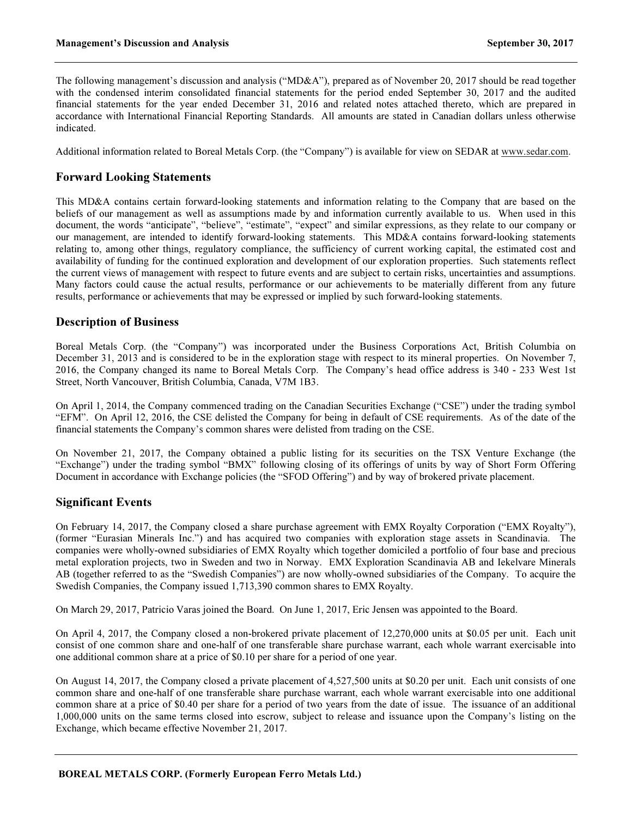The following management's discussion and analysis ("MD&A"), prepared as of November 20, 2017 should be read together with the condensed interim consolidated financial statements for the period ended September 30, 2017 and the audited financial statements for the year ended December 31, 2016 and related notes attached thereto, which are prepared in accordance with International Financial Reporting Standards. All amounts are stated in Canadian dollars unless otherwise indicated.

Additional information related to Boreal Metals Corp. (the "Company") is available for view on SEDAR at www.sedar.com.

# Forward Looking Statements

This MD&A contains certain forward-looking statements and information relating to the Company that are based on the beliefs of our management as well as assumptions made by and information currently available to us. When used in this document, the words "anticipate", "believe", "estimate", "expect" and similar expressions, as they relate to our company or our management, are intended to identify forward-looking statements. This MD&A contains forward-looking statements relating to, among other things, regulatory compliance, the sufficiency of current working capital, the estimated cost and availability of funding for the continued exploration and development of our exploration properties. Such statements reflect the current views of management with respect to future events and are subject to certain risks, uncertainties and assumptions. Many factors could cause the actual results, performance or our achievements to be materially different from any future results, performance or achievements that may be expressed or implied by such forward-looking statements.

# Description of Business

Boreal Metals Corp. (the "Company") was incorporated under the Business Corporations Act, British Columbia on December 31, 2013 and is considered to be in the exploration stage with respect to its mineral properties. On November 7, 2016, the Company changed its name to Boreal Metals Corp. The Company's head office address is 340 - 233 West 1st Street, North Vancouver, British Columbia, Canada, V7M 1B3.

On April 1, 2014, the Company commenced trading on the Canadian Securities Exchange ("CSE") under the trading symbol "EFM". On April 12, 2016, the CSE delisted the Company for being in default of CSE requirements. As of the date of the financial statements the Company's common shares were delisted from trading on the CSE.

On November 21, 2017, the Company obtained a public listing for its securities on the TSX Venture Exchange (the "Exchange") under the trading symbol "BMX" following closing of its offerings of units by way of Short Form Offering Document in accordance with Exchange policies (the "SFOD Offering") and by way of brokered private placement.

# Significant Events

On February 14, 2017, the Company closed a share purchase agreement with EMX Royalty Corporation ("EMX Royalty"), (former "Eurasian Minerals Inc.") and has acquired two companies with exploration stage assets in Scandinavia. The companies were wholly-owned subsidiaries of EMX Royalty which together domiciled a portfolio of four base and precious metal exploration projects, two in Sweden and two in Norway. EMX Exploration Scandinavia AB and Iekelvare Minerals AB (together referred to as the "Swedish Companies") are now wholly-owned subsidiaries of the Company. To acquire the Swedish Companies, the Company issued 1,713,390 common shares to EMX Royalty.

On March 29, 2017, Patricio Varas joined the Board. On June 1, 2017, Eric Jensen was appointed to the Board.

On April 4, 2017, the Company closed a non-brokered private placement of 12,270,000 units at \$0.05 per unit. Each unit consist of one common share and one-half of one transferable share purchase warrant, each whole warrant exercisable into one additional common share at a price of \$0.10 per share for a period of one year.

On August 14, 2017, the Company closed a private placement of 4,527,500 units at \$0.20 per unit. Each unit consists of one common share and one-half of one transferable share purchase warrant, each whole warrant exercisable into one additional common share at a price of \$0.40 per share for a period of two years from the date of issue. The issuance of an additional 1,000,000 units on the same terms closed into escrow, subject to release and issuance upon the Company's listing on the Exchange, which became effective November 21, 2017.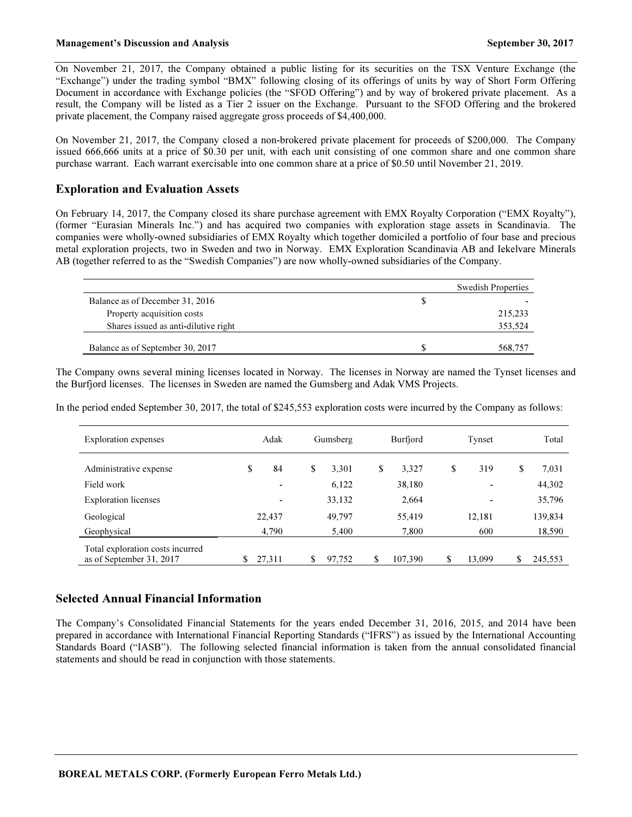On November 21, 2017, the Company obtained a public listing for its securities on the TSX Venture Exchange (the "Exchange") under the trading symbol "BMX" following closing of its offerings of units by way of Short Form Offering Document in accordance with Exchange policies (the "SFOD Offering") and by way of brokered private placement. As a result, the Company will be listed as a Tier 2 issuer on the Exchange. Pursuant to the SFOD Offering and the brokered private placement, the Company raised aggregate gross proceeds of \$4,400,000.

On November 21, 2017, the Company closed a non-brokered private placement for proceeds of \$200,000. The Company issued 666,666 units at a price of \$0.30 per unit, with each unit consisting of one common share and one common share purchase warrant. Each warrant exercisable into one common share at a price of \$0.50 until November 21, 2019.

# Exploration and Evaluation Assets

On February 14, 2017, the Company closed its share purchase agreement with EMX Royalty Corporation ("EMX Royalty"), (former "Eurasian Minerals Inc.") and has acquired two companies with exploration stage assets in Scandinavia. The companies were wholly-owned subsidiaries of EMX Royalty which together domiciled a portfolio of four base and precious metal exploration projects, two in Sweden and two in Norway. EMX Exploration Scandinavia AB and Iekelvare Minerals AB (together referred to as the "Swedish Companies") are now wholly-owned subsidiaries of the Company.

|                                      |   | <b>Swedish Properties</b> |
|--------------------------------------|---|---------------------------|
| Balance as of December 31, 2016      | S |                           |
| Property acquisition costs           |   | 215,233                   |
| Shares issued as anti-dilutive right |   | 353.524                   |
|                                      |   |                           |
| Balance as of September 30, 2017     |   | 568.757                   |

The Company owns several mining licenses located in Norway. The licenses in Norway are named the Tynset licenses and the Burfjord licenses. The licenses in Sweden are named the Gumsberg and Adak VMS Projects.

In the period ended September 30, 2017, the total of \$245,553 exploration costs were incurred by the Company as follows:

| <b>Exploration</b> expenses                                  |              | Adak                     |    | Gumsberg | Burfjord |  | Tynset  |    | Total                    |               |
|--------------------------------------------------------------|--------------|--------------------------|----|----------|----------|--|---------|----|--------------------------|---------------|
| Administrative expense                                       | \$           | 84                       | \$ | 3.301    | \$       |  | 3,327   | \$ | 319                      | \$<br>7.031   |
| Field work                                                   |              | $\overline{\phantom{a}}$ |    | 6,122    |          |  | 38,180  |    | $\overline{\phantom{0}}$ | 44,302        |
| <b>Exploration licenses</b>                                  |              | ٠                        |    | 33,132   |          |  | 2,664   |    | ٠                        | 35,796        |
| Geological                                                   | 22,437       |                          |    | 49,797   |          |  | 55,419  |    | 12,181                   | 139,834       |
| Geophysical                                                  |              | 4,790                    |    | 5,400    |          |  | 7,800   |    | 600                      | 18,590        |
| Total exploration costs incurred<br>as of September 31, 2017 | \$<br>27,311 |                          | \$ | 97,752   | \$       |  | 107,390 | \$ | 13,099                   | \$<br>245,553 |

# Selected Annual Financial Information

The Company's Consolidated Financial Statements for the years ended December 31, 2016, 2015, and 2014 have been prepared in accordance with International Financial Reporting Standards ("IFRS") as issued by the International Accounting Standards Board ("IASB"). The following selected financial information is taken from the annual consolidated financial statements and should be read in conjunction with those statements.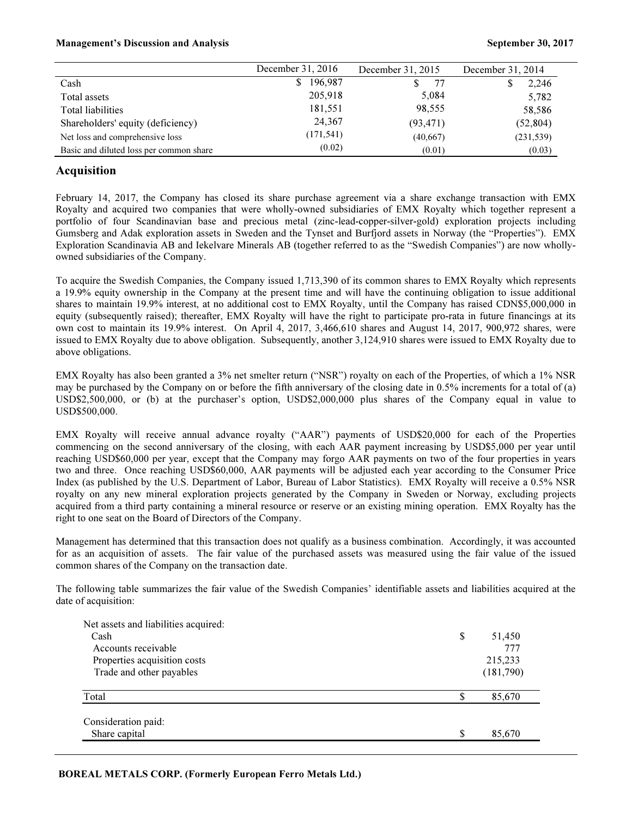#### Management's Discussion and Analysis September 30, 2017

|                                         | December 31, 2016 | December 31, 2015 | December 31, 2014 |
|-----------------------------------------|-------------------|-------------------|-------------------|
| Cash                                    | 196,987<br>S.     | 77                | 2,246             |
| Total assets                            | 205,918           | 5,084             | 5,782             |
| Total liabilities                       | 181,551           | 98,555            | 58,586            |
| Shareholders' equity (deficiency)       | 24,367            | (93, 471)         | (52, 804)         |
| Net loss and comprehensive loss         | (171, 541)        | (40,667)          | (231, 539)        |
| Basic and diluted loss per common share | (0.02)            | (0.01)            | (0.03)            |

# Acquisition

February 14, 2017, the Company has closed its share purchase agreement via a share exchange transaction with EMX Royalty and acquired two companies that were wholly-owned subsidiaries of EMX Royalty which together represent a portfolio of four Scandinavian base and precious metal (zinc-lead-copper-silver-gold) exploration projects including Gumsberg and Adak exploration assets in Sweden and the Tynset and Burfjord assets in Norway (the "Properties"). EMX Exploration Scandinavia AB and Iekelvare Minerals AB (together referred to as the "Swedish Companies") are now whollyowned subsidiaries of the Company.

To acquire the Swedish Companies, the Company issued 1,713,390 of its common shares to EMX Royalty which represents a 19.9% equity ownership in the Company at the present time and will have the continuing obligation to issue additional shares to maintain 19.9% interest, at no additional cost to EMX Royalty, until the Company has raised CDN\$5,000,000 in equity (subsequently raised); thereafter, EMX Royalty will have the right to participate pro-rata in future financings at its own cost to maintain its 19.9% interest. On April 4, 2017, 3,466,610 shares and August 14, 2017, 900,972 shares, were issued to EMX Royalty due to above obligation. Subsequently, another 3,124,910 shares were issued to EMX Royalty due to above obligations.

EMX Royalty has also been granted a 3% net smelter return ("NSR") royalty on each of the Properties, of which a 1% NSR may be purchased by the Company on or before the fifth anniversary of the closing date in 0.5% increments for a total of (a) USD\$2,500,000, or (b) at the purchaser's option, USD\$2,000,000 plus shares of the Company equal in value to USD\$500,000.

EMX Royalty will receive annual advance royalty ("AAR") payments of USD\$20,000 for each of the Properties commencing on the second anniversary of the closing, with each AAR payment increasing by USD\$5,000 per year until reaching USD\$60,000 per year, except that the Company may forgo AAR payments on two of the four properties in years two and three. Once reaching USD\$60,000, AAR payments will be adjusted each year according to the Consumer Price Index (as published by the U.S. Department of Labor, Bureau of Labor Statistics). EMX Royalty will receive a 0.5% NSR royalty on any new mineral exploration projects generated by the Company in Sweden or Norway, excluding projects acquired from a third party containing a mineral resource or reserve or an existing mining operation. EMX Royalty has the right to one seat on the Board of Directors of the Company.

Management has determined that this transaction does not qualify as a business combination. Accordingly, it was accounted for as an acquisition of assets. The fair value of the purchased assets was measured using the fair value of the issued common shares of the Company on the transaction date.

The following table summarizes the fair value of the Swedish Companies' identifiable assets and liabilities acquired at the date of acquisition:

| Net assets and liabilities acquired: |              |
|--------------------------------------|--------------|
| Cash                                 | \$<br>51,450 |
| Accounts receivable                  | 777          |
| Properties acquisition costs         | 215,233      |
| Trade and other payables             | (181,790)    |
|                                      |              |
| Total                                | \$<br>85,670 |
|                                      |              |
| Consideration paid:                  |              |
| Share capital                        | \$<br>85,670 |
|                                      |              |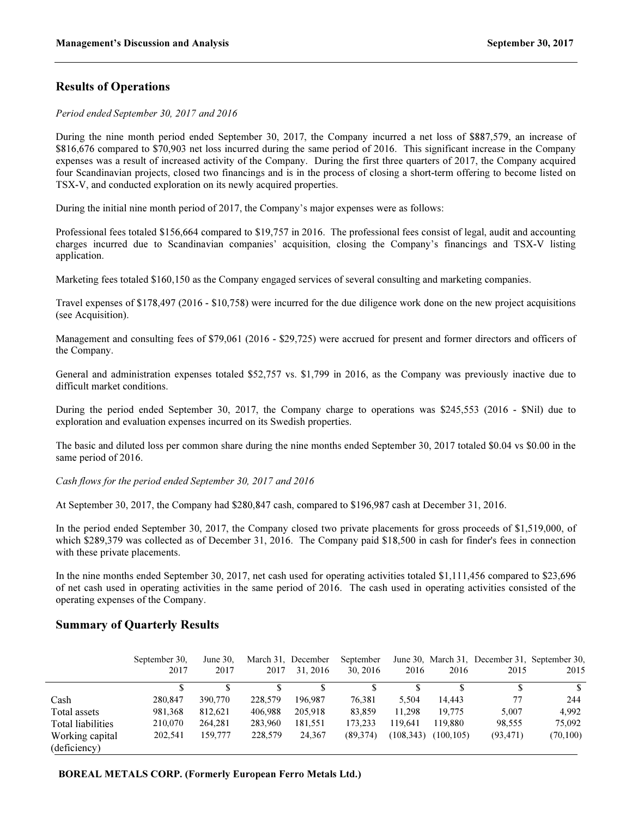# Results of Operations

Period ended September 30, 2017 and 2016

During the nine month period ended September 30, 2017, the Company incurred a net loss of \$887,579, an increase of \$816,676 compared to \$70,903 net loss incurred during the same period of 2016. This significant increase in the Company expenses was a result of increased activity of the Company. During the first three quarters of 2017, the Company acquired four Scandinavian projects, closed two financings and is in the process of closing a short-term offering to become listed on TSX-V, and conducted exploration on its newly acquired properties.

During the initial nine month period of 2017, the Company's major expenses were as follows:

Professional fees totaled \$156,664 compared to \$19,757 in 2016. The professional fees consist of legal, audit and accounting charges incurred due to Scandinavian companies' acquisition, closing the Company's financings and TSX-V listing application.

Marketing fees totaled \$160,150 as the Company engaged services of several consulting and marketing companies.

Travel expenses of \$178,497 (2016 - \$10,758) were incurred for the due diligence work done on the new project acquisitions (see Acquisition).

Management and consulting fees of \$79,061 (2016 - \$29,725) were accrued for present and former directors and officers of the Company.

General and administration expenses totaled \$52,757 vs. \$1,799 in 2016, as the Company was previously inactive due to difficult market conditions.

During the period ended September 30, 2017, the Company charge to operations was \$245,553 (2016 - \$Nil) due to exploration and evaluation expenses incurred on its Swedish properties.

The basic and diluted loss per common share during the nine months ended September 30, 2017 totaled \$0.04 vs \$0.00 in the same period of 2016.

Cash flows for the period ended September 30, 2017 and 2016

At September 30, 2017, the Company had \$280,847 cash, compared to \$196,987 cash at December 31, 2016.

In the period ended September 30, 2017, the Company closed two private placements for gross proceeds of \$1,519,000, of which \$289,379 was collected as of December 31, 2016. The Company paid \$18,500 in cash for finder's fees in connection with these private placements.

In the nine months ended September 30, 2017, net cash used for operating activities totaled \$1,111,456 compared to \$23,696 of net cash used in operating activities in the same period of 2016. The cash used in operating activities consisted of the operating expenses of the Company.

# Summary of Quarterly Results

|                   | September 30, | June $30.$ |         | March 31. December | September |            |           | June 30, March 31, December 31, September 30, |           |
|-------------------|---------------|------------|---------|--------------------|-----------|------------|-----------|-----------------------------------------------|-----------|
|                   | 2017          | 2017       | 2017    | 31, 2016           | 30, 2016  | 2016       | 2016      | 2015                                          | 2015      |
|                   |               |            |         |                    |           |            |           |                                               | \$        |
| Cash              | 280,847       | 390,770    | 228,579 | 196.987            | 76.381    | 5.504      | 14.443    | 77                                            | 244       |
| Total assets      | 981,368       | 812,621    | 406.988 | 205,918            | 83,859    | 11.298     | 19.775    | 5.007                                         | 4.992     |
| Total liabilities | 210,070       | 264.281    | 283,960 | 181.551            | 173.233   | 119.641    | 119.880   | 98,555                                        | 75,092    |
| Working capital   | 202.541       | 159,777    | 228,579 | 24.367             | (89.374)  | (108, 343) | (100.105) | (93, 471)                                     | (70, 100) |
| (deficiency)      |               |            |         |                    |           |            |           |                                               |           |

BOREAL METALS CORP. (Formerly European Ferro Metals Ltd.)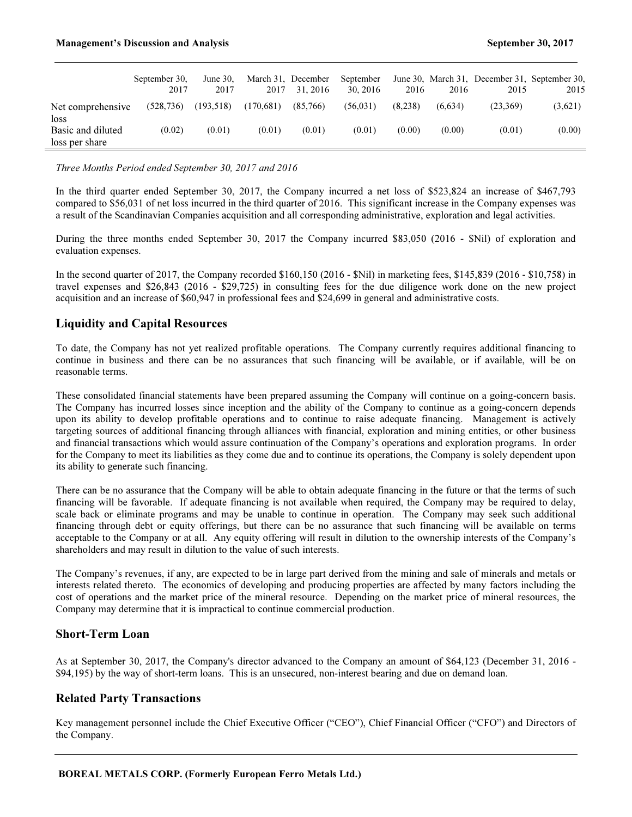|                           | September 30.<br>2017 | June $30$ .<br>2017 | 2017      | March 31, December<br>31, 2016 | September<br>30, 2016 | 2016    | 2016    | June 30, March 31, December 31, September 30,<br>2015 | 2015    |
|---------------------------|-----------------------|---------------------|-----------|--------------------------------|-----------------------|---------|---------|-------------------------------------------------------|---------|
| Net comprehensive         | (528, 736)            | (193, 518)          | (170,681) | (85,766)                       | (56.031)              | (8.238) | (6.634) | (23,369)                                              | (3,621) |
| loss<br>Basic and diluted | (0.02)                | (0.01)              | (0.01)    | (0.01)                         | (0.01)                | (0.00)  | (0.00)  | (0.01)                                                | (0.00)  |
| loss per share            |                       |                     |           |                                |                       |         |         |                                                       |         |

#### Three Months Period ended September 30, 2017 and 2016

In the third quarter ended September 30, 2017, the Company incurred a net loss of \$523,824 an increase of \$467,793 compared to \$56,031 of net loss incurred in the third quarter of 2016. This significant increase in the Company expenses was a result of the Scandinavian Companies acquisition and all corresponding administrative, exploration and legal activities.

During the three months ended September 30, 2017 the Company incurred \$83,050 (2016 - \$Nil) of exploration and evaluation expenses.

In the second quarter of 2017, the Company recorded \$160,150 (2016 - \$Nil) in marketing fees, \$145,839 (2016 - \$10,758) in travel expenses and \$26,843 (2016 - \$29,725) in consulting fees for the due diligence work done on the new project acquisition and an increase of \$60,947 in professional fees and \$24,699 in general and administrative costs.

# Liquidity and Capital Resources

To date, the Company has not yet realized profitable operations. The Company currently requires additional financing to continue in business and there can be no assurances that such financing will be available, or if available, will be on reasonable terms.

These consolidated financial statements have been prepared assuming the Company will continue on a going-concern basis. The Company has incurred losses since inception and the ability of the Company to continue as a going-concern depends upon its ability to develop profitable operations and to continue to raise adequate financing. Management is actively targeting sources of additional financing through alliances with financial, exploration and mining entities, or other business and financial transactions which would assure continuation of the Company's operations and exploration programs. In order for the Company to meet its liabilities as they come due and to continue its operations, the Company is solely dependent upon its ability to generate such financing.

There can be no assurance that the Company will be able to obtain adequate financing in the future or that the terms of such financing will be favorable. If adequate financing is not available when required, the Company may be required to delay, scale back or eliminate programs and may be unable to continue in operation. The Company may seek such additional financing through debt or equity offerings, but there can be no assurance that such financing will be available on terms acceptable to the Company or at all. Any equity offering will result in dilution to the ownership interests of the Company's shareholders and may result in dilution to the value of such interests.

The Company's revenues, if any, are expected to be in large part derived from the mining and sale of minerals and metals or interests related thereto. The economics of developing and producing properties are affected by many factors including the cost of operations and the market price of the mineral resource. Depending on the market price of mineral resources, the Company may determine that it is impractical to continue commercial production.

# Short-Term Loan

As at September 30, 2017, the Company's director advanced to the Company an amount of \$64,123 (December 31, 2016 - \$94,195) by the way of short-term loans. This is an unsecured, non-interest bearing and due on demand loan.

# Related Party Transactions

Key management personnel include the Chief Executive Officer ("CEO"), Chief Financial Officer ("CFO") and Directors of the Company.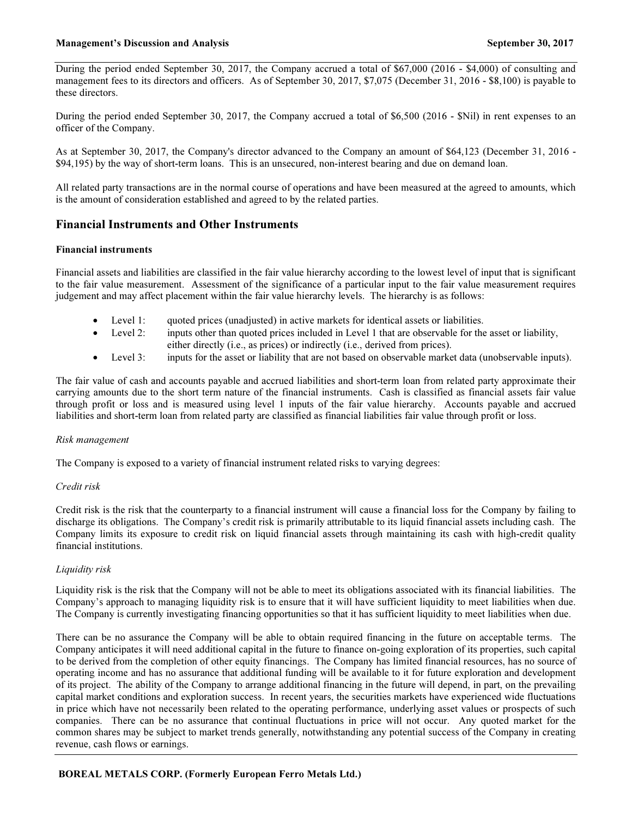During the period ended September 30, 2017, the Company accrued a total of \$67,000 (2016 - \$4,000) of consulting and management fees to its directors and officers. As of September 30, 2017, \$7,075 (December 31, 2016 - \$8,100) is payable to these directors.

During the period ended September 30, 2017, the Company accrued a total of \$6,500 (2016 - \$Nil) in rent expenses to an officer of the Company.

As at September 30, 2017, the Company's director advanced to the Company an amount of \$64,123 (December 31, 2016 - \$94,195) by the way of short-term loans. This is an unsecured, non-interest bearing and due on demand loan.

All related party transactions are in the normal course of operations and have been measured at the agreed to amounts, which is the amount of consideration established and agreed to by the related parties.

# Financial Instruments and Other Instruments

#### Financial instruments

Financial assets and liabilities are classified in the fair value hierarchy according to the lowest level of input that is significant to the fair value measurement. Assessment of the significance of a particular input to the fair value measurement requires judgement and may affect placement within the fair value hierarchy levels. The hierarchy is as follows:

- Level 1: quoted prices (unadjusted) in active markets for identical assets or liabilities.
- Level 2: inputs other than quoted prices included in Level 1 that are observable for the asset or liability, either directly (i.e., as prices) or indirectly (i.e., derived from prices).
- Level 3: inputs for the asset or liability that are not based on observable market data (unobservable inputs).

The fair value of cash and accounts payable and accrued liabilities and short-term loan from related party approximate their carrying amounts due to the short term nature of the financial instruments. Cash is classified as financial assets fair value through profit or loss and is measured using level 1 inputs of the fair value hierarchy. Accounts payable and accrued liabilities and short-term loan from related party are classified as financial liabilities fair value through profit or loss.

#### Risk management

The Company is exposed to a variety of financial instrument related risks to varying degrees:

### Credit risk

Credit risk is the risk that the counterparty to a financial instrument will cause a financial loss for the Company by failing to discharge its obligations. The Company's credit risk is primarily attributable to its liquid financial assets including cash. The Company limits its exposure to credit risk on liquid financial assets through maintaining its cash with high-credit quality financial institutions.

### Liquidity risk

Liquidity risk is the risk that the Company will not be able to meet its obligations associated with its financial liabilities. The Company's approach to managing liquidity risk is to ensure that it will have sufficient liquidity to meet liabilities when due. The Company is currently investigating financing opportunities so that it has sufficient liquidity to meet liabilities when due.

There can be no assurance the Company will be able to obtain required financing in the future on acceptable terms. The Company anticipates it will need additional capital in the future to finance on-going exploration of its properties, such capital to be derived from the completion of other equity financings. The Company has limited financial resources, has no source of operating income and has no assurance that additional funding will be available to it for future exploration and development of its project. The ability of the Company to arrange additional financing in the future will depend, in part, on the prevailing capital market conditions and exploration success. In recent years, the securities markets have experienced wide fluctuations in price which have not necessarily been related to the operating performance, underlying asset values or prospects of such companies. There can be no assurance that continual fluctuations in price will not occur. Any quoted market for the common shares may be subject to market trends generally, notwithstanding any potential success of the Company in creating revenue, cash flows or earnings.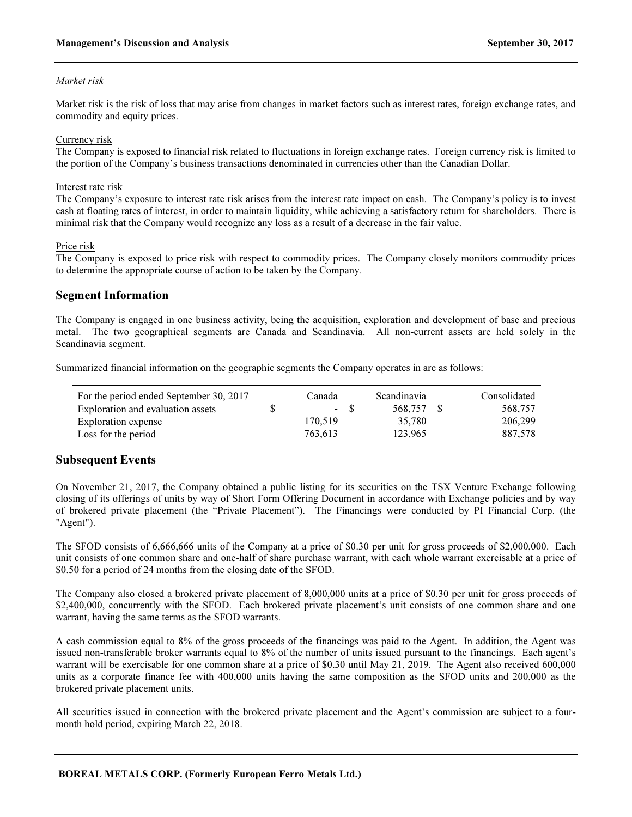#### Market risk

Market risk is the risk of loss that may arise from changes in market factors such as interest rates, foreign exchange rates, and commodity and equity prices.

#### Currency risk

The Company is exposed to financial risk related to fluctuations in foreign exchange rates. Foreign currency risk is limited to the portion of the Company's business transactions denominated in currencies other than the Canadian Dollar.

#### Interest rate risk

The Company's exposure to interest rate risk arises from the interest rate impact on cash. The Company's policy is to invest cash at floating rates of interest, in order to maintain liquidity, while achieving a satisfactory return for shareholders. There is minimal risk that the Company would recognize any loss as a result of a decrease in the fair value.

#### Price risk

The Company is exposed to price risk with respect to commodity prices. The Company closely monitors commodity prices to determine the appropriate course of action to be taken by the Company.

### Segment Information

The Company is engaged in one business activity, being the acquisition, exploration and development of base and precious metal. The two geographical segments are Canada and Scandinavia. All non-current assets are held solely in the Scandinavia segment.

Summarized financial information on the geographic segments the Company operates in are as follows:

| For the period ended September 30, 2017 | Canada  |     | <b>Scandinavia</b> | Consolidated |
|-----------------------------------------|---------|-----|--------------------|--------------|
| Exploration and evaluation assets       |         | - 8 | 568.757            | 568.757      |
| Exploration expense                     | 170.519 |     | 35.780             | 206,299      |
| Loss for the period                     | 763.613 |     | 123.965            | 887,578      |

# Subsequent Events

On November 21, 2017, the Company obtained a public listing for its securities on the TSX Venture Exchange following closing of its offerings of units by way of Short Form Offering Document in accordance with Exchange policies and by way of brokered private placement (the "Private Placement"). The Financings were conducted by PI Financial Corp. (the "Agent").

The SFOD consists of 6,666,666 units of the Company at a price of \$0.30 per unit for gross proceeds of \$2,000,000. Each unit consists of one common share and one-half of share purchase warrant, with each whole warrant exercisable at a price of \$0.50 for a period of 24 months from the closing date of the SFOD.

The Company also closed a brokered private placement of 8,000,000 units at a price of \$0.30 per unit for gross proceeds of \$2,400,000, concurrently with the SFOD. Each brokered private placement's unit consists of one common share and one warrant, having the same terms as the SFOD warrants.

A cash commission equal to 8% of the gross proceeds of the financings was paid to the Agent. In addition, the Agent was issued non-transferable broker warrants equal to 8% of the number of units issued pursuant to the financings. Each agent's warrant will be exercisable for one common share at a price of \$0.30 until May 21, 2019. The Agent also received 600,000 units as a corporate finance fee with 400,000 units having the same composition as the SFOD units and 200,000 as the brokered private placement units.

All securities issued in connection with the brokered private placement and the Agent's commission are subject to a fourmonth hold period, expiring March 22, 2018.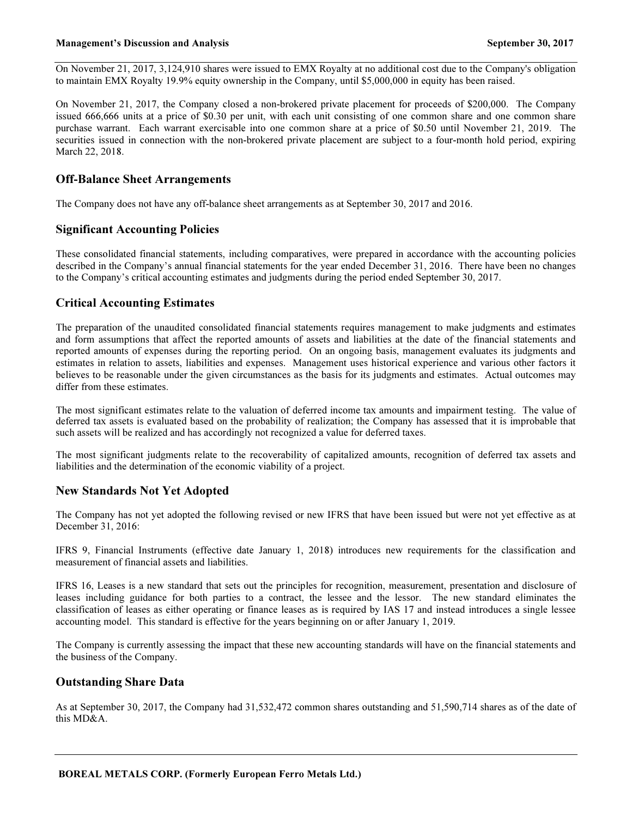On November 21, 2017, 3,124,910 shares were issued to EMX Royalty at no additional cost due to the Company's obligation to maintain EMX Royalty 19.9% equity ownership in the Company, until \$5,000,000 in equity has been raised.

On November 21, 2017, the Company closed a non-brokered private placement for proceeds of \$200,000. The Company issued 666,666 units at a price of \$0.30 per unit, with each unit consisting of one common share and one common share purchase warrant. Each warrant exercisable into one common share at a price of \$0.50 until November 21, 2019. The securities issued in connection with the non-brokered private placement are subject to a four-month hold period, expiring March 22, 2018.

# Off-Balance Sheet Arrangements

The Company does not have any off-balance sheet arrangements as at September 30, 2017 and 2016.

### Significant Accounting Policies

These consolidated financial statements, including comparatives, were prepared in accordance with the accounting policies described in the Company's annual financial statements for the year ended December 31, 2016. There have been no changes to the Company's critical accounting estimates and judgments during the period ended September 30, 2017.

### Critical Accounting Estimates

The preparation of the unaudited consolidated financial statements requires management to make judgments and estimates and form assumptions that affect the reported amounts of assets and liabilities at the date of the financial statements and reported amounts of expenses during the reporting period. On an ongoing basis, management evaluates its judgments and estimates in relation to assets, liabilities and expenses. Management uses historical experience and various other factors it believes to be reasonable under the given circumstances as the basis for its judgments and estimates. Actual outcomes may differ from these estimates.

The most significant estimates relate to the valuation of deferred income tax amounts and impairment testing. The value of deferred tax assets is evaluated based on the probability of realization; the Company has assessed that it is improbable that such assets will be realized and has accordingly not recognized a value for deferred taxes.

The most significant judgments relate to the recoverability of capitalized amounts, recognition of deferred tax assets and liabilities and the determination of the economic viability of a project.

### New Standards Not Yet Adopted

The Company has not yet adopted the following revised or new IFRS that have been issued but were not yet effective as at December 31, 2016:

IFRS 9, Financial Instruments (effective date January 1, 2018) introduces new requirements for the classification and measurement of financial assets and liabilities.

IFRS 16, Leases is a new standard that sets out the principles for recognition, measurement, presentation and disclosure of leases including guidance for both parties to a contract, the lessee and the lessor. The new standard eliminates the classification of leases as either operating or finance leases as is required by IAS 17 and instead introduces a single lessee accounting model. This standard is effective for the years beginning on or after January 1, 2019.

The Company is currently assessing the impact that these new accounting standards will have on the financial statements and the business of the Company.

### Outstanding Share Data

As at September 30, 2017, the Company had 31,532,472 common shares outstanding and 51,590,714 shares as of the date of this MD&A.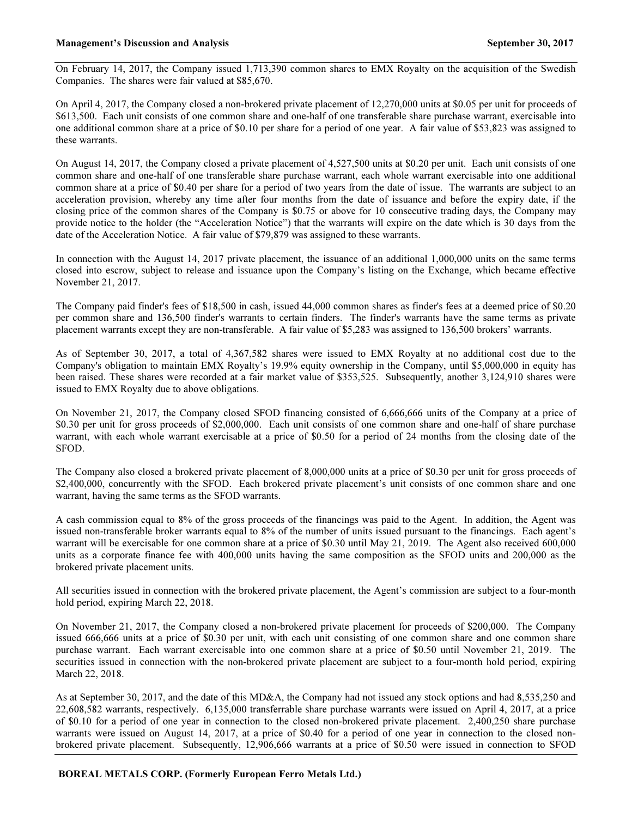On February 14, 2017, the Company issued 1,713,390 common shares to EMX Royalty on the acquisition of the Swedish Companies. The shares were fair valued at \$85,670.

On April 4, 2017, the Company closed a non-brokered private placement of 12,270,000 units at \$0.05 per unit for proceeds of \$613,500. Each unit consists of one common share and one-half of one transferable share purchase warrant, exercisable into one additional common share at a price of \$0.10 per share for a period of one year. A fair value of \$53,823 was assigned to these warrants.

On August 14, 2017, the Company closed a private placement of 4,527,500 units at \$0.20 per unit. Each unit consists of one common share and one-half of one transferable share purchase warrant, each whole warrant exercisable into one additional common share at a price of \$0.40 per share for a period of two years from the date of issue. The warrants are subject to an acceleration provision, whereby any time after four months from the date of issuance and before the expiry date, if the closing price of the common shares of the Company is \$0.75 or above for 10 consecutive trading days, the Company may provide notice to the holder (the "Acceleration Notice") that the warrants will expire on the date which is 30 days from the date of the Acceleration Notice. A fair value of \$79,879 was assigned to these warrants.

In connection with the August 14, 2017 private placement, the issuance of an additional 1,000,000 units on the same terms closed into escrow, subject to release and issuance upon the Company's listing on the Exchange, which became effective November 21, 2017.

The Company paid finder's fees of \$18,500 in cash, issued 44,000 common shares as finder's fees at a deemed price of \$0.20 per common share and 136,500 finder's warrants to certain finders. The finder's warrants have the same terms as private placement warrants except they are non-transferable. A fair value of \$5,283 was assigned to 136,500 brokers' warrants.

As of September 30, 2017, a total of 4,367,582 shares were issued to EMX Royalty at no additional cost due to the Company's obligation to maintain EMX Royalty's 19.9% equity ownership in the Company, until \$5,000,000 in equity has been raised. These shares were recorded at a fair market value of \$353,525. Subsequently, another 3,124,910 shares were issued to EMX Royalty due to above obligations.

On November 21, 2017, the Company closed SFOD financing consisted of 6,666,666 units of the Company at a price of \$0.30 per unit for gross proceeds of \$2,000,000. Each unit consists of one common share and one-half of share purchase warrant, with each whole warrant exercisable at a price of \$0.50 for a period of 24 months from the closing date of the SFOD.

The Company also closed a brokered private placement of 8,000,000 units at a price of \$0.30 per unit for gross proceeds of \$2,400,000, concurrently with the SFOD. Each brokered private placement's unit consists of one common share and one warrant, having the same terms as the SFOD warrants.

A cash commission equal to 8% of the gross proceeds of the financings was paid to the Agent. In addition, the Agent was issued non-transferable broker warrants equal to 8% of the number of units issued pursuant to the financings. Each agent's warrant will be exercisable for one common share at a price of \$0.30 until May 21, 2019. The Agent also received 600,000 units as a corporate finance fee with 400,000 units having the same composition as the SFOD units and 200,000 as the brokered private placement units.

All securities issued in connection with the brokered private placement, the Agent's commission are subject to a four-month hold period, expiring March 22, 2018.

On November 21, 2017, the Company closed a non-brokered private placement for proceeds of \$200,000. The Company issued 666,666 units at a price of \$0.30 per unit, with each unit consisting of one common share and one common share purchase warrant. Each warrant exercisable into one common share at a price of \$0.50 until November 21, 2019. The securities issued in connection with the non-brokered private placement are subject to a four-month hold period, expiring March 22, 2018.

As at September 30, 2017, and the date of this MD&A, the Company had not issued any stock options and had 8,535,250 and 22,608,582 warrants, respectively. 6,135,000 transferrable share purchase warrants were issued on April 4, 2017, at a price of \$0.10 for a period of one year in connection to the closed non-brokered private placement. 2,400,250 share purchase warrants were issued on August 14, 2017, at a price of \$0.40 for a period of one year in connection to the closed nonbrokered private placement. Subsequently, 12,906,666 warrants at a price of \$0.50 were issued in connection to SFOD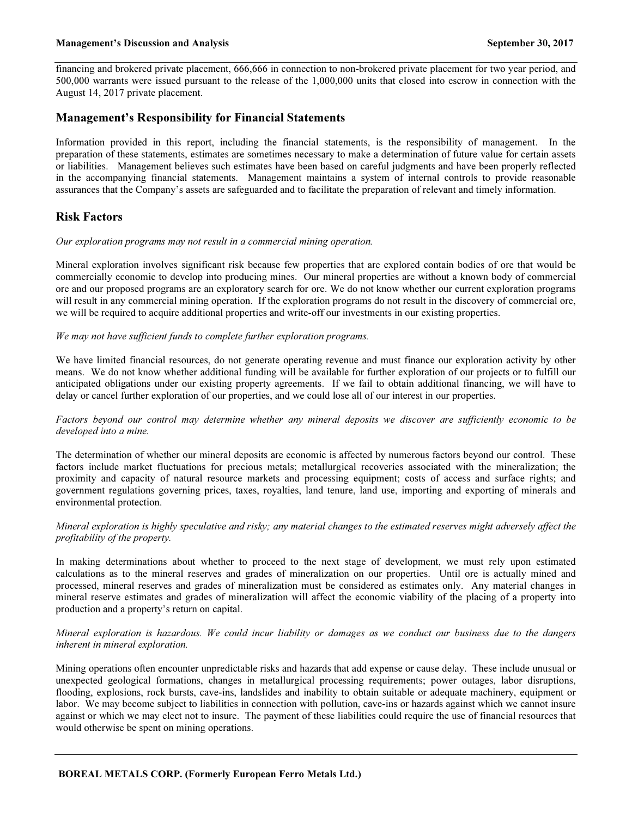financing and brokered private placement, 666,666 in connection to non-brokered private placement for two year period, and 500,000 warrants were issued pursuant to the release of the 1,000,000 units that closed into escrow in connection with the August 14, 2017 private placement.

### Management's Responsibility for Financial Statements

Information provided in this report, including the financial statements, is the responsibility of management. In the preparation of these statements, estimates are sometimes necessary to make a determination of future value for certain assets or liabilities. Management believes such estimates have been based on careful judgments and have been properly reflected in the accompanying financial statements. Management maintains a system of internal controls to provide reasonable assurances that the Company's assets are safeguarded and to facilitate the preparation of relevant and timely information.

# Risk Factors

#### Our exploration programs may not result in a commercial mining operation.

Mineral exploration involves significant risk because few properties that are explored contain bodies of ore that would be commercially economic to develop into producing mines. Our mineral properties are without a known body of commercial ore and our proposed programs are an exploratory search for ore. We do not know whether our current exploration programs will result in any commercial mining operation. If the exploration programs do not result in the discovery of commercial ore, we will be required to acquire additional properties and write-off our investments in our existing properties.

#### We may not have sufficient funds to complete further exploration programs.

We have limited financial resources, do not generate operating revenue and must finance our exploration activity by other means. We do not know whether additional funding will be available for further exploration of our projects or to fulfill our anticipated obligations under our existing property agreements. If we fail to obtain additional financing, we will have to delay or cancel further exploration of our properties, and we could lose all of our interest in our properties.

### Factors beyond our control may determine whether any mineral deposits we discover are sufficiently economic to be developed into a mine.

The determination of whether our mineral deposits are economic is affected by numerous factors beyond our control. These factors include market fluctuations for precious metals; metallurgical recoveries associated with the mineralization; the proximity and capacity of natural resource markets and processing equipment; costs of access and surface rights; and government regulations governing prices, taxes, royalties, land tenure, land use, importing and exporting of minerals and environmental protection.

### Mineral exploration is highly speculative and risky; any material changes to the estimated reserves might adversely affect the profitability of the property.

In making determinations about whether to proceed to the next stage of development, we must rely upon estimated calculations as to the mineral reserves and grades of mineralization on our properties. Until ore is actually mined and processed, mineral reserves and grades of mineralization must be considered as estimates only. Any material changes in mineral reserve estimates and grades of mineralization will affect the economic viability of the placing of a property into production and a property's return on capital.

### Mineral exploration is hazardous. We could incur liability or damages as we conduct our business due to the dangers inherent in mineral exploration.

Mining operations often encounter unpredictable risks and hazards that add expense or cause delay. These include unusual or unexpected geological formations, changes in metallurgical processing requirements; power outages, labor disruptions, flooding, explosions, rock bursts, cave-ins, landslides and inability to obtain suitable or adequate machinery, equipment or labor. We may become subject to liabilities in connection with pollution, cave-ins or hazards against which we cannot insure against or which we may elect not to insure. The payment of these liabilities could require the use of financial resources that would otherwise be spent on mining operations.